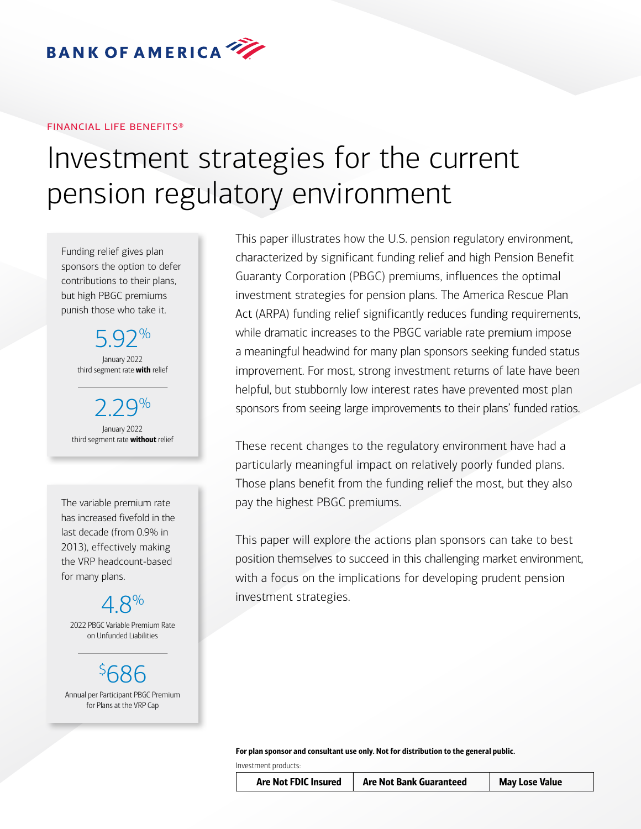

#### financial life benefits®

# Investment strategies for the current pension regulatory environment

Funding relief gives plan sponsors the option to defer contributions to their plans, but high PBGC premiums punish those who take it.

> 5.92% January 2022 third segment rate with relief

 $Q\%$ January 2022 third segment rate **without** relief

has increased fivefold in the last decade (from 0.9% in 2013), effectively making the VRP headcount-based for many plans.

# 4.8%

2022 PBGC Variable Premium Rate on Unfunded Liabilities

\$ 686 Annual per Participant PBGC Premium for Plans at the VRP Cap

This paper illustrates how the U.S. pension regulatory environment, characterized by significant funding relief and high Pension Benefit Guaranty Corporation (PBGC) premiums, influences the optimal investment strategies for pension plans. The America Rescue Plan Act (ARPA) funding relief significantly reduces funding requirements, while dramatic increases to the PBGC variable rate premium impose a meaningful headwind for many plan sponsors seeking funded status improvement. For most, strong investment returns of late have been helpful, but stubbornly low interest rates have prevented most plan sponsors from seeing large improvements to their plans' funded ratios.

These recent changes to the regulatory environment have had a particularly meaningful impact on relatively poorly funded plans. Those plans benefit from the funding relief the most, but they also The variable premium rate pay the highest PBGC premiums.

> This paper will explore the actions plan sponsors can take to best position themselves to succeed in this challenging market environment, with a focus on the implications for developing prudent pension investment strategies.

For plan sponsor and consultant use only. Not for distribution to the general public.

Investment products:

Are Not FDIC Insured | Are Not Bank Guaranteed | May Lose Value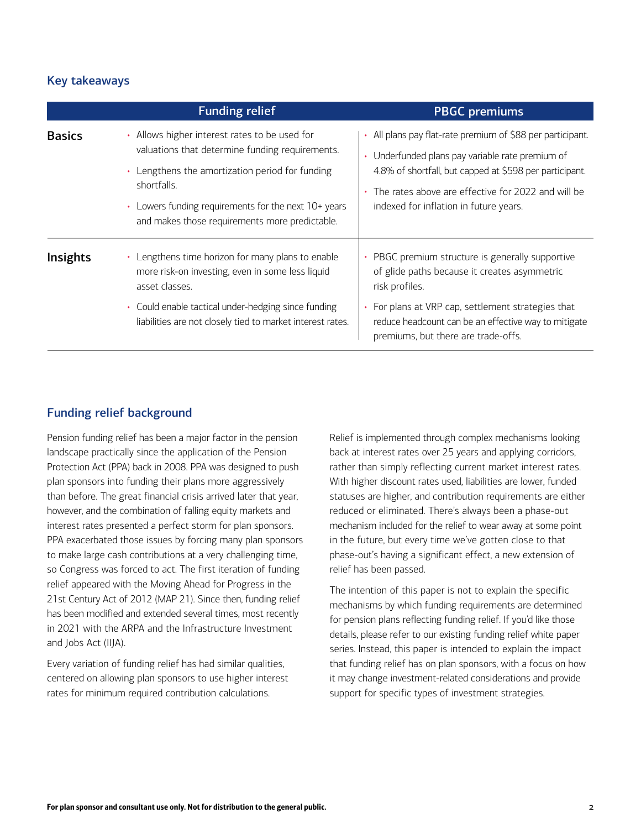# Key takeaways

|                 | <b>Funding relief</b>                                                                                                                                                                                                                                                                      | <b>PBGC</b> premiums                                                                                                                                                                                                                                                        |
|-----------------|--------------------------------------------------------------------------------------------------------------------------------------------------------------------------------------------------------------------------------------------------------------------------------------------|-----------------------------------------------------------------------------------------------------------------------------------------------------------------------------------------------------------------------------------------------------------------------------|
| <b>Basics</b>   | Allows higher interest rates to be used for<br>٠<br>valuations that determine funding requirements.<br>• Lengthens the amortization period for funding<br>shortfalls.<br>Lowers funding requirements for the next 10+ years<br>$\bullet$<br>and makes those requirements more predictable. | • All plans pay flat-rate premium of \$88 per participant.<br>• Underfunded plans pay variable rate premium of<br>4.8% of shortfall, but capped at \$598 per participant.<br>• The rates above are effective for 2022 and will be<br>indexed for inflation in future years. |
| <b>Insights</b> | Lengthens time horizon for many plans to enable<br>more risk-on investing, even in some less liquid<br>asset classes.<br>Could enable tactical under-hedging since funding<br>$\bullet$<br>liabilities are not closely tied to market interest rates.                                      | PBGC premium structure is generally supportive<br>of glide paths because it creates asymmetric<br>risk profiles.<br>For plans at VRP cap, settlement strategies that<br>reduce headcount can be an effective way to mitigate                                                |
|                 |                                                                                                                                                                                                                                                                                            | premiums, but there are trade-offs.                                                                                                                                                                                                                                         |

## Funding relief background

Pension funding relief has been a major factor in the pension landscape practically since the application of the Pension Protection Act (PPA) back in 2008. PPA was designed to push plan sponsors into funding their plans more aggressively than before. The great financial crisis arrived later that year, however, and the combination of falling equity markets and interest rates presented a perfect storm for plan sponsors. PPA exacerbated those issues by forcing many plan sponsors to make large cash contributions at a very challenging time, so Congress was forced to act. The first iteration of funding relief appeared with the Moving Ahead for Progress in the 21st Century Act of 2012 (MAP 21). Since then, funding relief has been modified and extended several times, most recently in 2021 with the ARPA and the Infrastructure Investment and Jobs Act (IIJA).

Every variation of funding relief has had similar qualities, centered on allowing plan sponsors to use higher interest rates for minimum required contribution calculations.

Relief is implemented through complex mechanisms looking back at interest rates over 25 years and applying corridors, rather than simply reflecting current market interest rates. With higher discount rates used, liabilities are lower, funded statuses are higher, and contribution requirements are either reduced or eliminated. There's always been a phase-out mechanism included for the relief to wear away at some point in the future, but every time we've gotten close to that phase-out's having a significant effect, a new extension of relief has been passed.

The intention of this paper is not to explain the specific mechanisms by which funding requirements are determined for pension plans reflecting funding relief. If you'd like those details, please refer to our existing funding relief white paper series. Instead, this paper is intended to explain the impact that funding relief has on plan sponsors, with a focus on how it may change investment-related considerations and provide support for specific types of investment strategies.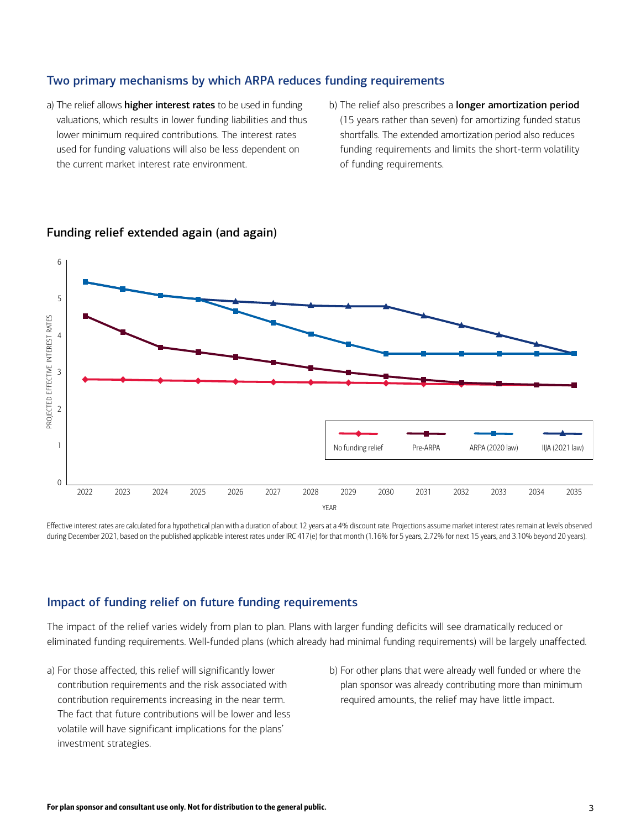### Two primary mechanisms by which ARPA reduces funding requirements

- a) The relief allows higher interest rates to be used in funding valuations, which results in lower funding liabilities and thus lower minimum required contributions. The interest rates used for funding valuations will also be less dependent on the current market interest rate environment.
- b) The relief also prescribes a longer amortization period (15 years rather than seven) for amortizing funded status shortfalls. The extended amortization period also reduces funding requirements and limits the short-term volatility of funding requirements.



### Funding relief extended again (and again)

Effective interest rates are calculated for a hypothetical plan with a duration of about 12 years at a 4% discount rate. Projections assume market interest rates remain at levels observed during December 2021, based on the published applicable interest rates under IRC 417(e) for that month (1.16% for 5 years, 2.72% for next 15 years, and 3.10% beyond 20 years).

### Impact of funding relief on future funding requirements

The impact of the relief varies widely from plan to plan. Plans with larger funding deficits will see dramatically reduced or eliminated funding requirements. Well-funded plans (which already had minimal funding requirements) will be largely unaffected.

- a) For those affected, this relief will significantly lower contribution requirements and the risk associated with contribution requirements increasing in the near term. The fact that future contributions will be lower and less volatile will have significant implications for the plans' investment strategies.
- b) For other plans that were already well funded or where the plan sponsor was already contributing more than minimum required amounts, the relief may have little impact.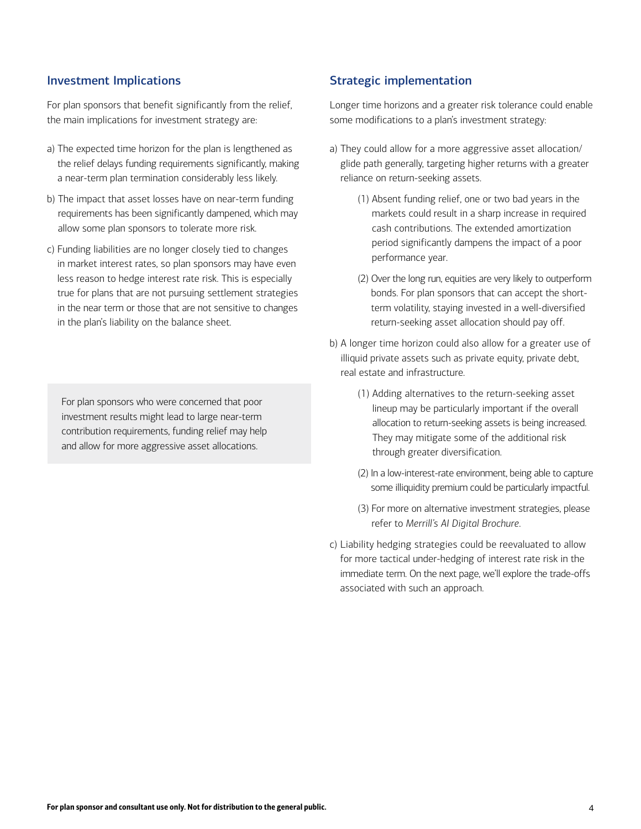### Investment Implications

For plan sponsors that benefit significantly from the relief, the main implications for investment strategy are:

- a) The expected time horizon for the plan is lengthened as the relief delays funding requirements significantly, making a near-term plan termination considerably less likely.
- b) The impact that asset losses have on near-term funding requirements has been significantly dampened, which may allow some plan sponsors to tolerate more risk.
- c) Funding liabilities are no longer closely tied to changes in market interest rates, so plan sponsors may have even less reason to hedge interest rate risk. This is especially true for plans that are not pursuing settlement strategies in the near term or those that are not sensitive to changes in the plan's liability on the balance sheet.

For plan sponsors who were concerned that poor investment results might lead to large near-term contribution requirements, funding relief may help and allow for more aggressive asset allocations.

### Strategic implementation

Longer time horizons and a greater risk tolerance could enable some modifications to a plan's investment strategy:

- a) They could allow for a more aggressive asset allocation/ glide path generally, targeting higher returns with a greater reliance on return-seeking assets.
	- (1) Absent funding relief, one or two bad years in the markets could result in a sharp increase in required cash contributions. The extended amortization period significantly dampens the impact of a poor performance year.
	- (2) Over the long run, equities are very likely to outperform bonds. For plan sponsors that can accept the shortterm volatility, staying invested in a well-diversified return-seeking asset allocation should pay off.
- b) A longer time horizon could also allow for a greater use of illiquid private assets such as private equity, private debt, real estate and infrastructure.
	- (1) Adding alternatives to the return-seeking asset lineup may be particularly important if the overall allocation to return-seeking assets is being increased. They may mitigate some of the additional risk through greater diversification.
	- (2) In a low-interest-rate environment, being able to capture some illiquidity premium could be particularly impactful.
	- (3) For more on alternative investment strategies, please refer to *Merrill's AI Digital Brochure*.
- c) Liability hedging strategies could be reevaluated to allow for more tactical under-hedging of interest rate risk in the immediate term. On the next page, we'll explore the trade-offs associated with such an approach.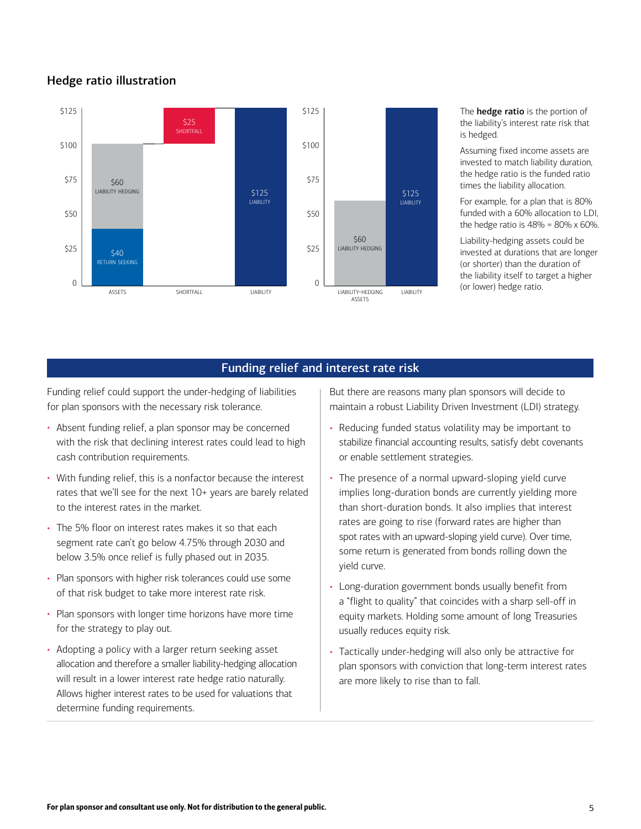# Hedge ratio illustration



The **hedge ratio** is the portion of the liability's interest rate risk that is hedged.

Assuming fixed income assets are invested to match liability duration, the hedge ratio is the funded ratio times the liability allocation.

For example, for a plan that is 80% funded with a 60% allocation to LDI, the hedge ratio is  $48\% = 80\% \times 60\%$ .

Liability-hedging assets could be invested at durations that are longer (or shorter) than the duration of the liability itself to target a higher (or lower) hedge ratio.

### Funding relief and interest rate risk

Funding relief could support the under-hedging of liabilities for plan sponsors with the necessary risk tolerance.

- Absent funding relief, a plan sponsor may be concerned with the risk that declining interest rates could lead to high cash contribution requirements.
- With funding relief, this is a nonfactor because the interest rates that we'll see for the next 10+ years are barely related to the interest rates in the market.
- The 5% floor on interest rates makes it so that each segment rate can't go below 4.75% through 2030 and below 3.5% once relief is fully phased out in 2035.
- Plan sponsors with higher risk tolerances could use some of that risk budget to take more interest rate risk.
- Plan sponsors with longer time horizons have more time for the strategy to play out.
- Adopting a policy with a larger return seeking asset allocation and therefore a smaller liability-hedging allocation will result in a lower interest rate hedge ratio naturally. Allows higher interest rates to be used for valuations that determine funding requirements.

But there are reasons many plan sponsors will decide to maintain a robust Liability Driven Investment (LDI) strategy.

- Reducing funded status volatility may be important to stabilize financial accounting results, satisfy debt covenants or enable settlement strategies.
- The presence of a normal upward-sloping yield curve implies long-duration bonds are currently yielding more than short-duration bonds. It also implies that interest rates are going to rise (forward rates are higher than spot rates with an upward-sloping yield curve). Over time, some return is generated from bonds rolling down the yield curve.
- Long-duration government bonds usually benefit from a "flight to quality" that coincides with a sharp sell-off in equity markets. Holding some amount of long Treasuries usually reduces equity risk.
- Tactically under-hedging will also only be attractive for plan sponsors with conviction that long-term interest rates are more likely to rise than to fall.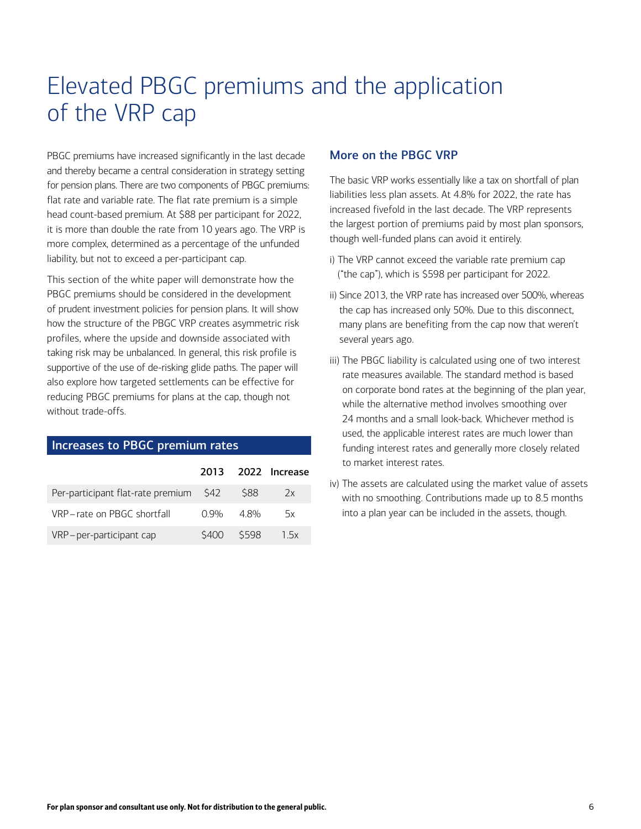# Elevated PBGC premiums and the application of the VRP cap

PBGC premiums have increased significantly in the last decade and thereby became a central consideration in strategy setting for pension plans. There are two components of PBGC premiums: flat rate and variable rate. The flat rate premium is a simple head count-based premium. At \$88 per participant for 2022, it is more than double the rate from 10 years ago. The VRP is more complex, determined as a percentage of the unfunded liability, but not to exceed a per-participant cap.

This section of the white paper will demonstrate how the PBGC premiums should be considered in the development of prudent investment policies for pension plans. It will show how the structure of the PBGC VRP creates asymmetric risk profiles, where the upside and downside associated with taking risk may be unbalanced. In general, this risk profile is supportive of the use of de-risking glide paths. The paper will also explore how targeted settlements can be effective for reducing PBGC premiums for plans at the cap, though not without trade-offs.

### Increases to PBGC premium rates

|                                        |                 |           | 2013 2022 Increase |
|----------------------------------------|-----------------|-----------|--------------------|
| Per-participant flat-rate premium \$42 |                 | - S88     | 2x                 |
| VRP-rate on PBGC shortfall             | $0.9\% - 4.8\%$ |           | 5x                 |
| VRP-per-participant cap                |                 | S400 S598 | 1.5x               |

### More on the PBGC VRP

The basic VRP works essentially like a tax on shortfall of plan liabilities less plan assets. At 4.8% for 2022, the rate has increased fivefold in the last decade. The VRP represents the largest portion of premiums paid by most plan sponsors, though well-funded plans can avoid it entirely.

- i) The VRP cannot exceed the variable rate premium cap ("the cap"), which is \$598 per participant for 2022.
- ii) Since 2013, the VRP rate has increased over 500%, whereas the cap has increased only 50%. Due to this disconnect, many plans are benefiting from the cap now that weren't several years ago.
- iii) The PBGC liability is calculated using one of two interest rate measures available. The standard method is based on corporate bond rates at the beginning of the plan year, while the alternative method involves smoothing over 24 months and a small look-back. Whichever method is used, the applicable interest rates are much lower than funding interest rates and generally more closely related to market interest rates.
- iv) The assets are calculated using the market value of assets with no smoothing. Contributions made up to 8.5 months into a plan year can be included in the assets, though.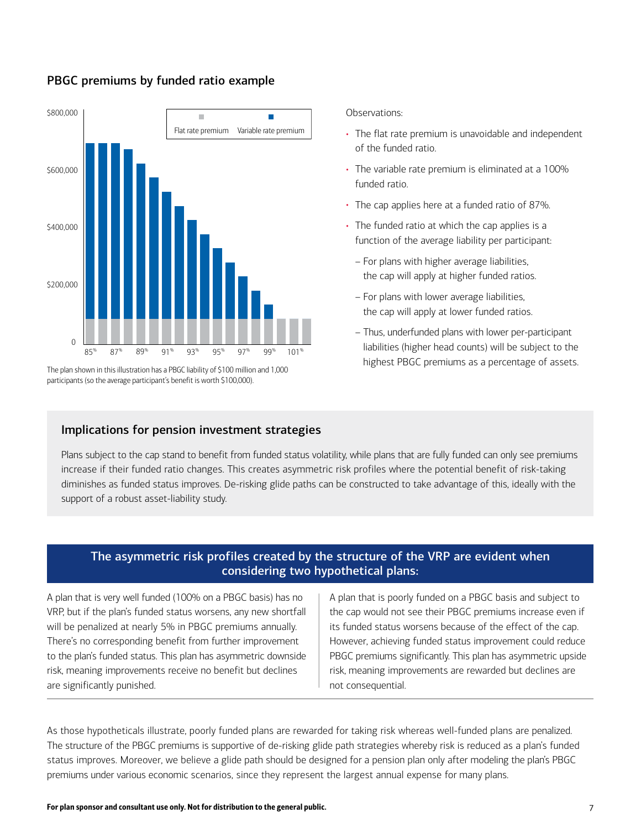

## PBGC premiums by funded ratio example

participants (so the average participant's benefit is worth \$100,000).

#### Observations:

- The flat rate premium is unavoidable and independent of the funded ratio.
- The variable rate premium is eliminated at a 100% funded ratio.
- The cap applies here at a funded ratio of 87%.
- The funded ratio at which the cap applies is a function of the average liability per participant:
	- For plans with higher average liabilities, the cap will apply at higher funded ratios.
	- For plans with lower average liabilities, the cap will apply at lower funded ratios.
- Thus, underfunded plans with lower per-participant liabilities (higher head counts) will be subject to the highest PBGC premiums as a percentage of assets. The plan shown in this illustration has a PBGC liability of \$100 million and 1,000

### Implications for pension investment strategies

Plans subject to the cap stand to benefit from funded status volatility, while plans that are fully funded can only see premiums increase if their funded ratio changes. This creates asymmetric risk profiles where the potential benefit of risk-taking diminishes as funded status improves. De-risking glide paths can be constructed to take advantage of this, ideally with the support of a robust asset-liability study.

# The asymmetric risk profiles created by the structure of the VRP are evident when considering two hypothetical plans:

A plan that is very well funded (100% on a PBGC basis) has no VRP, but if the plan's funded status worsens, any new shortfall will be penalized at nearly 5% in PBGC premiums annually. There's no corresponding benefit from further improvement to the plan's funded status. This plan has asymmetric downside risk, meaning improvements receive no benefit but declines are significantly punished.

A plan that is poorly funded on a PBGC basis and subject to the cap would not see their PBGC premiums increase even if its funded status worsens because of the effect of the cap. However, achieving funded status improvement could reduce PBGC premiums significantly. This plan has asymmetric upside risk, meaning improvements are rewarded but declines are not consequential.

As those hypotheticals illustrate, poorly funded plans are rewarded for taking risk whereas well-funded plans are penalized. The structure of the PBGC premiums is supportive of de-risking glide path strategies whereby risk is reduced as a plan's funded status improves. Moreover, we believe a glide path should be designed for a pension plan only after modeling the plan's PBGC premiums under various economic scenarios, since they represent the largest annual expense for many plans.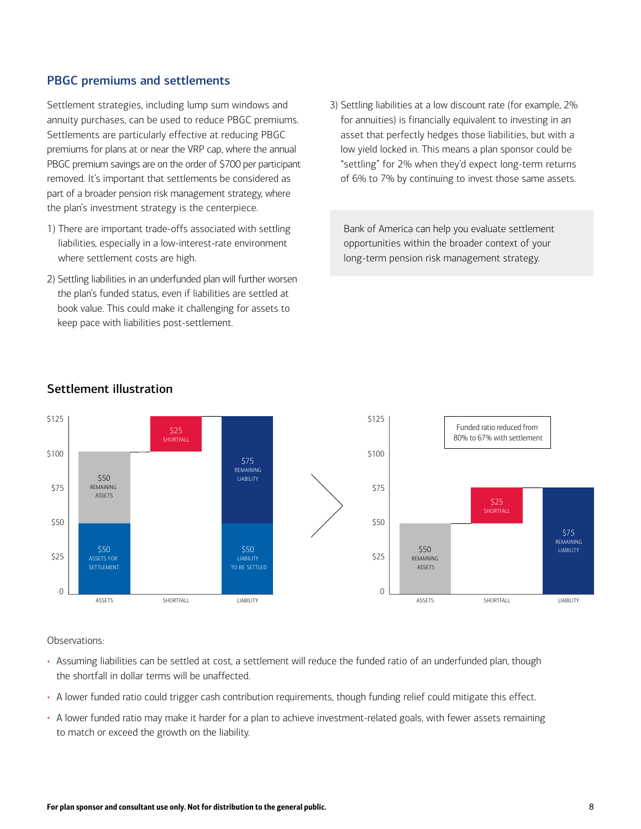# PBGC premiums and settlements

Settlement strategies, including lump sum windows and annuity purchases, can be used to reduce PBGC premiums. Settlements are particularly effective at reducing PBGC premiums for plans at or near the VRP cap, where the annual PBGC premium savings are on the order of \$700 per participant removed. It's important that settlements be considered as part of a broader pension risk management strategy, where the plan's investment strategy is the centerpiece.

- 1) There are important trade-offs associated with settling liabilities, especially in a low-interest-rate environment where settlement costs are high.
- 2) Settling liabilities in an underfunded plan will further worsen the plan's funded status, even if liabilities are settled at book value. This could make it challenging for assets to keep pace with liabilities post-settlement.

3) Settling liabilities at a low discount rate (for example, 2% for annuities) is financially equivalent to investing in an asset that perfectly hedges those liabilities, but with a low yield locked in. This means a plan sponsor could be "settling" for 2% when they'd expect long-term returns of 6% to 7% by continuing to invest those same assets.

Bank of America can help you evaluate settlement opportunities within the broader context of your long-term pension risk management strategy.



# Settlement illustration

Observations:

- Assuming liabilities can be settled at cost, a settlement will reduce the funded ratio of an underfunded plan, though the shortfall in dollar terms will be unaffected.
- A lower funded ratio could trigger cash contribution requirements, though funding relief could mitigate this effect.
- A lower funded ratio may make it harder for a plan to achieve investment-related goals, with fewer assets remaining to match or exceed the growth on the liability.